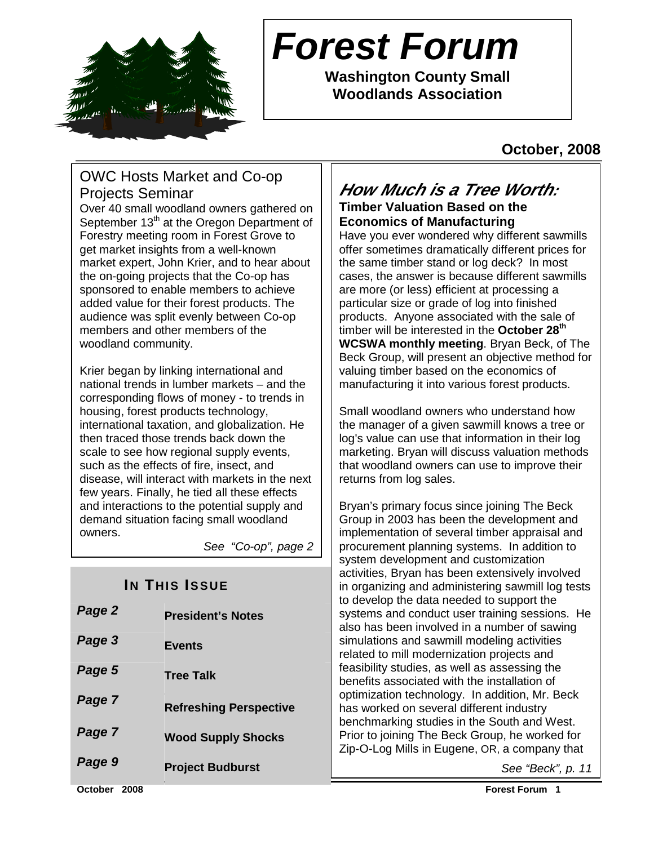

# **Forest Forum**

**Washington County Small Woodlands Association** 

# **October, 2008**

# OWC Hosts Market and Co-op Projects Seminar

Over 40 small woodland owners gathered on September 13<sup>th</sup> at the Oregon Department of Forestry meeting room in Forest Grove to get market insights from a well-known market expert, John Krier, and to hear about the on-going projects that the Co-op has sponsored to enable members to achieve added value for their forest products. The audience was split evenly between Co-op members and other members of the woodland community.

Krier began by linking international and national trends in lumber markets – and the corresponding flows of money - to trends in housing, forest products technology, international taxation, and globalization. He then traced those trends back down the scale to see how regional supply events, such as the effects of fire, insect, and disease, will interact with markets in the next few years. Finally, he tied all these effects and interactions to the potential supply and demand situation facing small woodland owners.

See "Co-op", page 2

# **IN THIS ISSUE**

| <b>President's Notes</b>      |
|-------------------------------|
| <b>Events</b>                 |
| <b>Tree Talk</b>              |
| <b>Refreshing Perspective</b> |
| <b>Wood Supply Shocks</b>     |
| <b>Project Budburst</b>       |
|                               |

### **How Much is a Tree Worth: Timber Valuation Based on the Economics of Manufacturing**

Have you ever wondered why different sawmills offer sometimes dramatically different prices for the same timber stand or log deck? In most cases, the answer is because different sawmills are more (or less) efficient at processing a particular size or grade of log into finished products. Anyone associated with the sale of timber will be interested in the **October 28th WCSWA monthly meeting**. Bryan Beck, of The Beck Group, will present an objective method for valuing timber based on the economics of manufacturing it into various forest products.

Small woodland owners who understand how the manager of a given sawmill knows a tree or log's value can use that information in their log marketing. Bryan will discuss valuation methods that woodland owners can use to improve their returns from log sales.

Bryan's primary focus since joining The Beck Group in 2003 has been the development and implementation of several timber appraisal and procurement planning systems. In addition to system development and customization activities, Bryan has been extensively involved in organizing and administering sawmill log tests to develop the data needed to support the systems and conduct user training sessions. He also has been involved in a number of sawing simulations and sawmill modeling activities related to mill modernization projects and feasibility studies, as well as assessing the benefits associated with the installation of optimization technology. In addition, Mr. Beck has worked on several different industry benchmarking studies in the South and West. Prior to joining The Beck Group, he worked for Zip-O-Log Mills in Eugene, OR, a company that

See "Beck", p. 11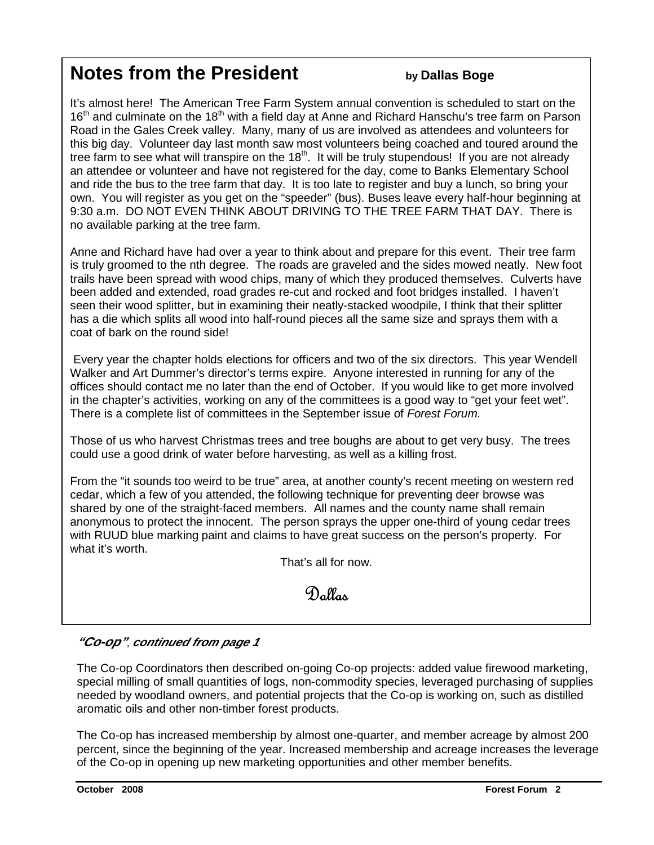# **Notes from the President by Dallas Boge**

It's almost here! The American Tree Farm System annual convention is scheduled to start on the 16<sup>th</sup> and culminate on the 18<sup>th</sup> with a field day at Anne and Richard Hanschu's tree farm on Parson Road in the Gales Creek valley. Many, many of us are involved as attendees and volunteers for this big day. Volunteer day last month saw most volunteers being coached and toured around the tree farm to see what will transpire on the 18<sup>th</sup>. It will be truly stupendous! If you are not already an attendee or volunteer and have not registered for the day, come to Banks Elementary School and ride the bus to the tree farm that day. It is too late to register and buy a lunch, so bring your own. You will register as you get on the "speeder" (bus). Buses leave every half-hour beginning at 9:30 a.m. DO NOT EVEN THINK ABOUT DRIVING TO THE TREE FARM THAT DAY. There is no available parking at the tree farm.

Anne and Richard have had over a year to think about and prepare for this event. Their tree farm is truly groomed to the nth degree. The roads are graveled and the sides mowed neatly. New foot trails have been spread with wood chips, many of which they produced themselves. Culverts have been added and extended, road grades re-cut and rocked and foot bridges installed. I haven't seen their wood splitter, but in examining their neatly-stacked woodpile, I think that their splitter has a die which splits all wood into half-round pieces all the same size and sprays them with a coat of bark on the round side!

 Every year the chapter holds elections for officers and two of the six directors. This year Wendell Walker and Art Dummer's director's terms expire. Anyone interested in running for any of the offices should contact me no later than the end of October. If you would like to get more involved in the chapter's activities, working on any of the committees is a good way to "get your feet wet". There is a complete list of committees in the September issue of Forest Forum.

Those of us who harvest Christmas trees and tree boughs are about to get very busy. The trees could use a good drink of water before harvesting, as well as a killing frost.

From the "it sounds too weird to be true" area, at another county's recent meeting on western red cedar, which a few of you attended, the following technique for preventing deer browse was shared by one of the straight-faced members. All names and the county name shall remain anonymous to protect the innocent. The person sprays the upper one-third of young cedar trees with RUUD blue marking paint and claims to have great success on the person's property. For what it's worth.

That's all for now.

# Dallas

#### **"Co-op"**, **continued from page 1**

The Co-op Coordinators then described on-going Co-op projects: added value firewood marketing, special milling of small quantities of logs, non-commodity species, leveraged purchasing of supplies needed by woodland owners, and potential projects that the Co-op is working on, such as distilled aromatic oils and other non-timber forest products.

The Co-op has increased membership by almost one-quarter, and member acreage by almost 200 percent, since the beginning of the year. Increased membership and acreage increases the leverage of the Co-op in opening up new marketing opportunities and other member benefits.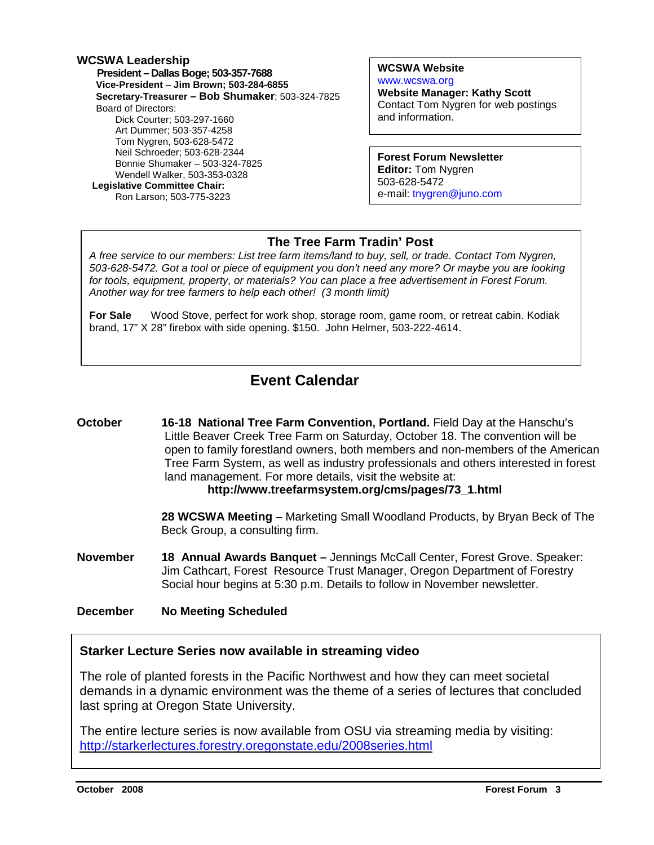#### **WCSWA Leadership President – Dallas Boge; 503-357-7688 Vice-President** – **Jim Brown; 503-284-6855 Secretary-Treasurer – Bob Shumaker**; 503-324-7825 Board of Directors: Dick Courter; 503-297-1660 Art Dummer; 503-357-4258 Tom Nygren, 503-628-5472 Neil Schroeder; 503-628-2344 Bonnie Shumaker – 503-324-7825 Wendell Walker, 503-353-0328  **Legislative Committee Chair:**  Ron Larson; 503-775-3223

**WCSWA Website** www.wcswa.org **Website Manager: Kathy Scott** Contact Tom Nygren for web postings and information.

**Forest Forum Newsletter Editor:** Tom Nygren 503-628-5472 e-mail: tnygren@juno.com

#### **The Tree Farm Tradin' Post**

 for tools, equipment, property, or materials? You can place a free advertisement in Forest Forum. A free service to our members: List tree farm items/land to buy, sell, or trade. Contact Tom Nygren, 503-628-5472. Got a tool or piece of equipment you don't need any more? Or maybe you are looking Another way for tree farmers to help each other! (3 month limit)

**For Sale** Wood Stove, perfect for work shop, storage room, game room, or retreat cabin. Kodiak brand, 17" X 28" firebox with side opening. \$150. John Helmer, 503-222-4614.

# **Event Calendar**

**October 16-18 National Tree Farm Convention, Portland.** Field Day at the Hanschu's Little Beaver Creek Tree Farm on Saturday, October 18. The convention will be open to family forestland owners, both members and non-members of the American Tree Farm System, as well as industry professionals and others interested in forest land management. For more details, visit the website at: **http://www.treefarmsystem.org/cms/pages/73\_1.html**

> **28 WCSWA Meeting** – Marketing Small Woodland Products, by Bryan Beck of The Beck Group, a consulting firm.

**November 18 Annual Awards Banquet –** Jennings McCall Center, Forest Grove. Speaker: Jim Cathcart, Forest Resource Trust Manager, Oregon Department of Forestry Social hour begins at 5:30 p.m. Details to follow in November newsletter.

**December No Meeting Scheduled** 

#### **Starker Lecture Series now available in streaming video**

The role of planted forests in the Pacific Northwest and how they can meet societal demands in a dynamic environment was the theme of a series of lectures that concluded last spring at Oregon State University.

The entire lecture series is now available from OSU via streaming media by visiting: http://starkerlectures.forestry.oregonstate.edu/2008series.html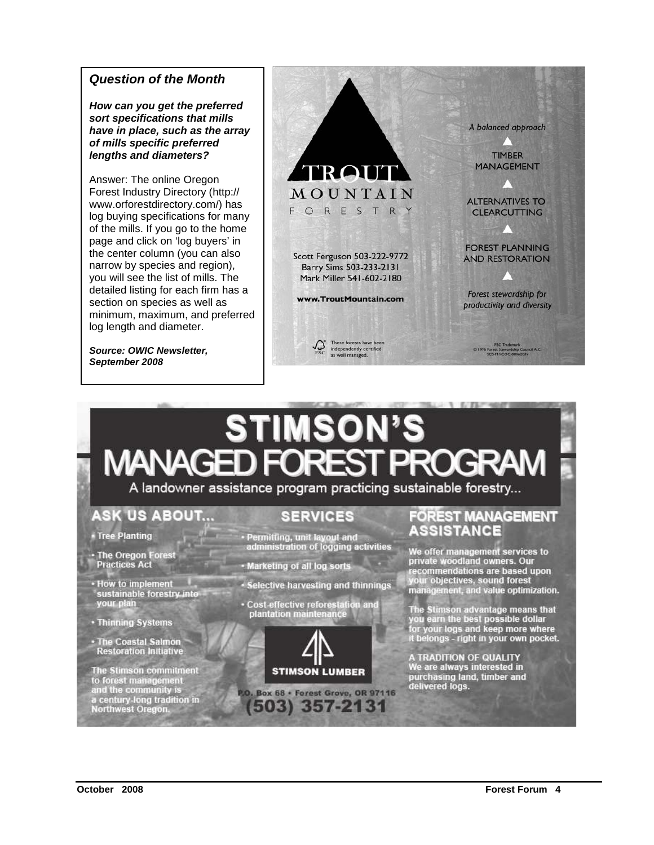#### **Question of the Month**

**How can you get the preferred sort specifications that mills have in place, such as the array of mills specific preferred lengths and diameters?** 

Answer: The online Oregon Forest Industry Directory (http:// www.orforestdirectory.com/) has log buying specifications for many of the mills. If you go to the home page and click on 'log buyers' in the center column (you can also narrow by species and region), you will see the list of mills. The detailed listing for each firm has a section on species as well as minimum, maximum, and preferred log length and diameter.

**Source: OWIC Newsletter, September 2008** 



# STIMSON'S MANAGED FORES

A landowner assistance program practicing sustainable forestry...

# **ASK US ABOUT...**

• Tree Planting

· The Oregon Forest **Practices Act** 

• How to implement sustainable forestry into your plan

- Thinning Systems
- · The Coastal Salmon **Restoration Initiative**

The Stimson commitment<br>to forest management<br>and the community is a century-long tradition in<br>Northwest Oregon.

## **SERVICES**

· Permitting, unit layout and<br>administration of logging activities

- Marketing of all log sorts
- Selective harvesting and thinnings
- Cost-effective reforestation and<br>plantation maintenance



(503) 357-2131

#### **FOREST MANAGEMENT ASSISTANCE**

We offer management services to<br>private woodland owners. Our ecommendations are based upon your objectives, sound forest<br>management, and value optimization.

The Stimson advantage means that<br>you earn the best possible dollar<br>for your logs and keep more where<br>it belongs - right in your own pocket.

A TRADITION OF QUALITY<br>We are always interested in purchasing land, timber and<br>delivered logs.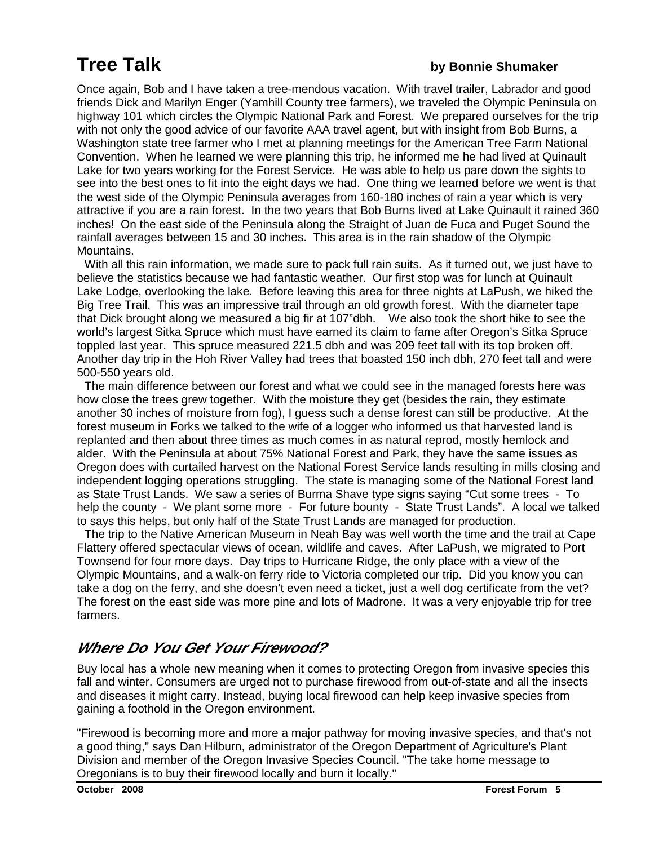# **Tree Talk by Bonnie Shumaker**

Once again, Bob and I have taken a tree-mendous vacation. With travel trailer, Labrador and good friends Dick and Marilyn Enger (Yamhill County tree farmers), we traveled the Olympic Peninsula on highway 101 which circles the Olympic National Park and Forest. We prepared ourselves for the trip with not only the good advice of our favorite AAA travel agent, but with insight from Bob Burns, a Washington state tree farmer who I met at planning meetings for the American Tree Farm National Convention. When he learned we were planning this trip, he informed me he had lived at Quinault Lake for two years working for the Forest Service. He was able to help us pare down the sights to see into the best ones to fit into the eight days we had. One thing we learned before we went is that the west side of the Olympic Peninsula averages from 160-180 inches of rain a year which is very attractive if you are a rain forest. In the two years that Bob Burns lived at Lake Quinault it rained 360 inches! On the east side of the Peninsula along the Straight of Juan de Fuca and Puget Sound the rainfall averages between 15 and 30 inches. This area is in the rain shadow of the Olympic Mountains.

 With all this rain information, we made sure to pack full rain suits. As it turned out, we just have to believe the statistics because we had fantastic weather. Our first stop was for lunch at Quinault Lake Lodge, overlooking the lake. Before leaving this area for three nights at LaPush, we hiked the Big Tree Trail. This was an impressive trail through an old growth forest. With the diameter tape that Dick brought along we measured a big fir at 107"dbh. We also took the short hike to see the world's largest Sitka Spruce which must have earned its claim to fame after Oregon's Sitka Spruce toppled last year. This spruce measured 221.5 dbh and was 209 feet tall with its top broken off. Another day trip in the Hoh River Valley had trees that boasted 150 inch dbh, 270 feet tall and were 500-550 years old.

 The main difference between our forest and what we could see in the managed forests here was how close the trees grew together. With the moisture they get (besides the rain, they estimate another 30 inches of moisture from fog), I guess such a dense forest can still be productive. At the forest museum in Forks we talked to the wife of a logger who informed us that harvested land is replanted and then about three times as much comes in as natural reprod, mostly hemlock and alder. With the Peninsula at about 75% National Forest and Park, they have the same issues as Oregon does with curtailed harvest on the National Forest Service lands resulting in mills closing and independent logging operations struggling. The state is managing some of the National Forest land as State Trust Lands. We saw a series of Burma Shave type signs saying "Cut some trees - To help the county - We plant some more - For future bounty - State Trust Lands". A local we talked to says this helps, but only half of the State Trust Lands are managed for production.

 The trip to the Native American Museum in Neah Bay was well worth the time and the trail at Cape Flattery offered spectacular views of ocean, wildlife and caves. After LaPush, we migrated to Port Townsend for four more days. Day trips to Hurricane Ridge, the only place with a view of the Olympic Mountains, and a walk-on ferry ride to Victoria completed our trip. Did you know you can take a dog on the ferry, and she doesn't even need a ticket, just a well dog certificate from the vet? The forest on the east side was more pine and lots of Madrone. It was a very enjoyable trip for tree farmers.

# **Where Do You Get Your Firewood?**

Buy local has a whole new meaning when it comes to protecting Oregon from invasive species this fall and winter. Consumers are urged not to purchase firewood from out-of-state and all the insects and diseases it might carry. Instead, buying local firewood can help keep invasive species from gaining a foothold in the Oregon environment.

"Firewood is becoming more and more a major pathway for moving invasive species, and that's not a good thing," says Dan Hilburn, administrator of the Oregon Department of Agriculture's Plant Division and member of the Oregon Invasive Species Council. "The take home message to Oregonians is to buy their firewood locally and burn it locally."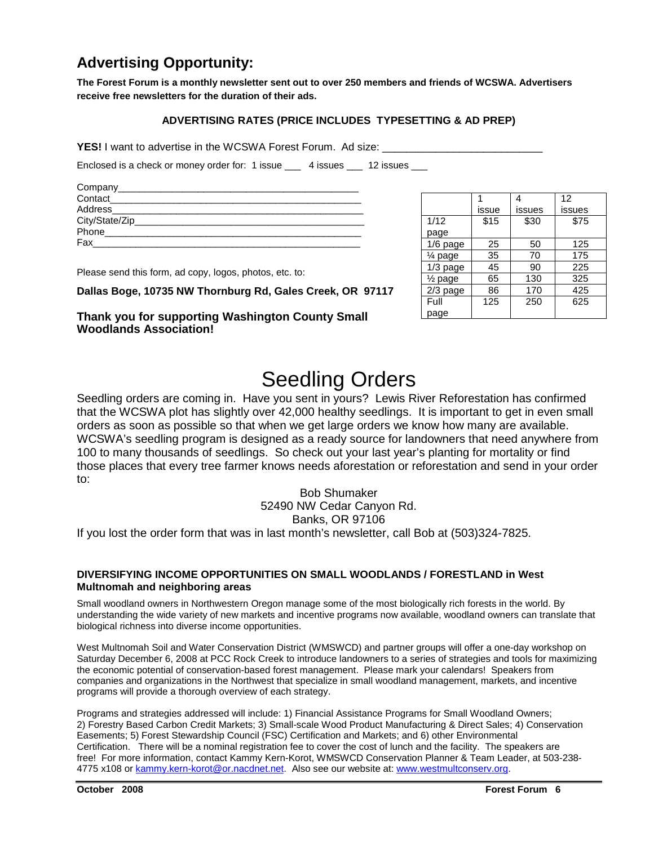# **Advertising Opportunity:**

**The Forest Forum is a monthly newsletter sent out to over 250 members and friends of WCSWA. Advertisers receive free newsletters for the duration of their ads.** 

#### **ADVERTISING RATES (PRICE INCLUDES TYPESETTING & AD PREP)**

**YES!** I want to advertise in the WCSWA Forest Forum. Ad size:

Enclosed is a check or money order for: 1 issue \_\_\_ 4 issues \_\_ 12 issues \_\_

| Company______      |  |
|--------------------|--|
| Contact            |  |
| Address_______     |  |
| City/State/Zip____ |  |
| Phone              |  |
| Fax                |  |

1 issue 4 issues 12 issues 1/12 page  $$15$   $$30$   $$75$ 1/6 page | 25 | 50 | 125  $\frac{1}{4}$  page | 35 | 70 | 175  $1/3$  page  $\begin{array}{|c|c|c|c|c|} 45 & 90 & 225 \end{array}$  $\frac{1}{2}$  page | 65 | 130 | 325 2/3 page | 86 | 170 | 425 **Full** page 125 250 625

Please send this form, ad copy, logos, photos, etc. to:

**Dallas Boge, 10735 NW Thornburg Rd, Gales Creek, OR 97117** 

**Thank you for supporting Washington County Small Woodlands Association!** 

# Seedling Orders

Seedling orders are coming in. Have you sent in yours? Lewis River Reforestation has confirmed that the WCSWA plot has slightly over 42,000 healthy seedlings. It is important to get in even small orders as soon as possible so that when we get large orders we know how many are available. WCSWA's seedling program is designed as a ready source for landowners that need anywhere from 100 to many thousands of seedlings. So check out your last year's planting for mortality or find those places that every tree farmer knows needs aforestation or reforestation and send in your order to:

> Bob Shumaker 52490 NW Cedar Canyon Rd. Banks, OR 97106

If you lost the order form that was in last month's newsletter, call Bob at (503)324-7825.

#### **DIVERSIFYING INCOME OPPORTUNITIES ON SMALL WOODLANDS / FORESTLAND in West Multnomah and neighboring areas**

Small woodland owners in Northwestern Oregon manage some of the most biologically rich forests in the world. By understanding the wide variety of new markets and incentive programs now available, woodland owners can translate that biological richness into diverse income opportunities.

West Multnomah Soil and Water Conservation District (WMSWCD) and partner groups will offer a one-day workshop on Saturday December 6, 2008 at PCC Rock Creek to introduce landowners to a series of strategies and tools for maximizing the economic potential of conservation-based forest management. Please mark your calendars! Speakers from companies and organizations in the Northwest that specialize in small woodland management, markets, and incentive programs will provide a thorough overview of each strategy.

Programs and strategies addressed will include: 1) Financial Assistance Programs for Small Woodland Owners; 2) Forestry Based Carbon Credit Markets; 3) Small-scale Wood Product Manufacturing & Direct Sales; 4) Conservation Easements; 5) Forest Stewardship Council (FSC) Certification and Markets; and 6) other Environmental Certification. There will be a nominal registration fee to cover the cost of lunch and the facility. The speakers are free! For more information, contact Kammy Kern-Korot, WMSWCD Conservation Planner & Team Leader, at 503-238- 4775 x108 or kammy.kern-korot@or.nacdnet.net. Also see our website at: www.westmultconserv.org.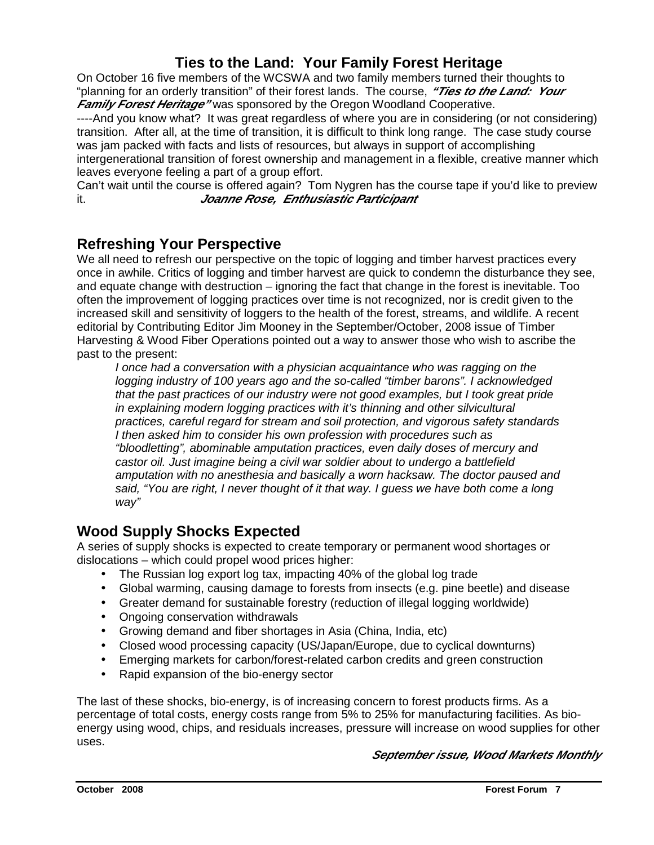## **Ties to the Land: Your Family Forest Heritage**

On October 16 five members of the WCSWA and two family members turned their thoughts to "planning for an orderly transition" of their forest lands. The course, **"Ties to the Land: Your Family Forest Heritage**" was sponsored by the Oregon Woodland Cooperative.

----And you know what? It was great regardless of where you are in considering (or not considering) transition. After all, at the time of transition, it is difficult to think long range. The case study course was jam packed with facts and lists of resources, but always in support of accomplishing intergenerational transition of forest ownership and management in a flexible, creative manner which leaves everyone feeling a part of a group effort.

Can't wait until the course is offered again? Tom Nygren has the course tape if you'd like to preview it. **Joanne Rose, Enthusiastic Participant** 

#### **Refreshing Your Perspective**

We all need to refresh our perspective on the topic of logging and timber harvest practices every once in awhile. Critics of logging and timber harvest are quick to condemn the disturbance they see, and equate change with destruction – ignoring the fact that change in the forest is inevitable. Too often the improvement of logging practices over time is not recognized, nor is credit given to the increased skill and sensitivity of loggers to the health of the forest, streams, and wildlife. A recent editorial by Contributing Editor Jim Mooney in the September/October, 2008 issue of Timber Harvesting & Wood Fiber Operations pointed out a way to answer those who wish to ascribe the past to the present:

I once had a conversation with a physician acquaintance who was ragging on the logging industry of 100 years ago and the so-called "timber barons". I acknowledged that the past practices of our industry were not good examples, but I took great pride in explaining modern logging practices with it's thinning and other silvicultural practices, careful regard for stream and soil protection, and vigorous safety standards I then asked him to consider his own profession with procedures such as "bloodletting", abominable amputation practices, even daily doses of mercury and castor oil. Just imagine being a civil war soldier about to undergo a battlefield amputation with no anesthesia and basically a worn hacksaw. The doctor paused and said, "You are right, I never thought of it that way. I guess we have both come a long way"

### **Wood Supply Shocks Expected**

A series of supply shocks is expected to create temporary or permanent wood shortages or dislocations – which could propel wood prices higher:

- The Russian log export log tax, impacting 40% of the global log trade
- Global warming, causing damage to forests from insects (e.g. pine beetle) and disease
- Greater demand for sustainable forestry (reduction of illegal logging worldwide)
- Ongoing conservation withdrawals
- Growing demand and fiber shortages in Asia (China, India, etc)
- Closed wood processing capacity (US/Japan/Europe, due to cyclical downturns)
- Emerging markets for carbon/forest-related carbon credits and green construction
- Rapid expansion of the bio-energy sector

The last of these shocks, bio-energy, is of increasing concern to forest products firms. As a percentage of total costs, energy costs range from 5% to 25% for manufacturing facilities. As bioenergy using wood, chips, and residuals increases, pressure will increase on wood supplies for other uses.

#### **September issue, Wood Markets Monthly**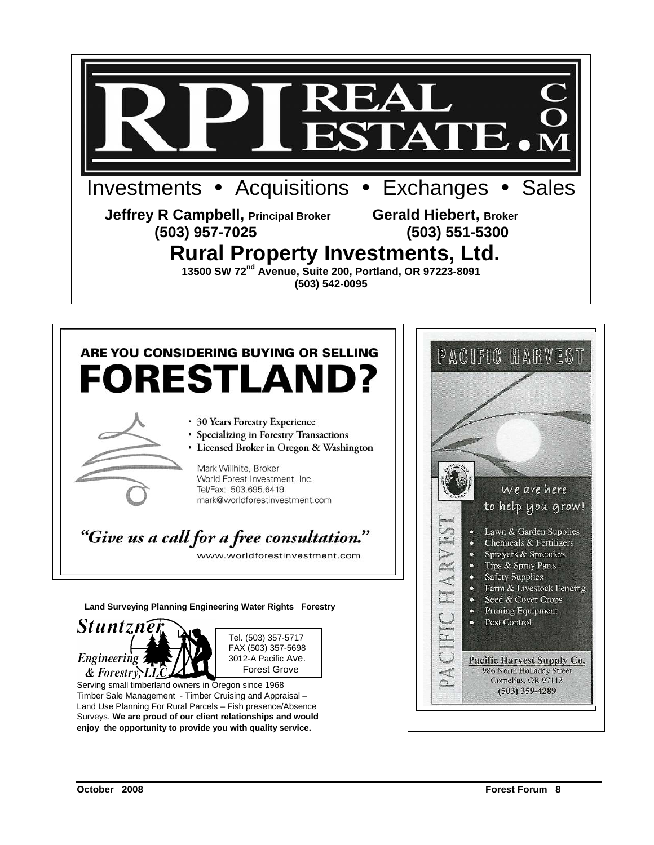

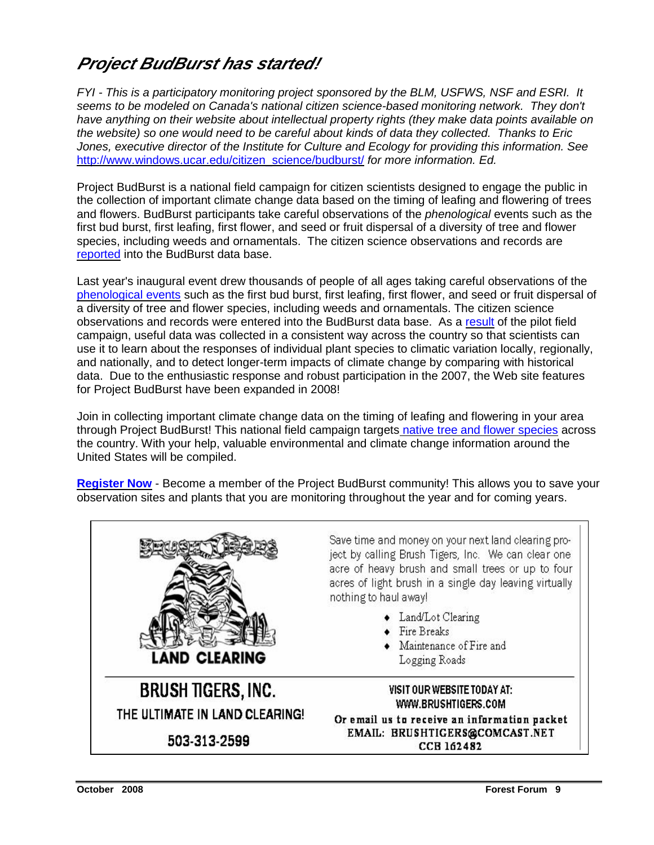# **Project BudBurst has started!**

FYI - This is a participatory monitoring project sponsored by the BLM, USFWS, NSF and ESRI. It seems to be modeled on Canada's national citizen science-based monitoring network. They don't have anything on their website about intellectual property rights (they make data points available on the website) so one would need to be careful about kinds of data they collected. Thanks to Eric Jones, executive director of the Institute for Culture and Ecology for providing this information. See http://www.windows.ucar.edu/citizen\_science/budburst/ for more information. Ed.

Project BudBurst is a national field campaign for citizen scientists designed to engage the public in the collection of important climate change data based on the timing of leafing and flowering of trees and flowers. BudBurst participants take careful observations of the phenological events such as the first bud burst, first leafing, first flower, and seed or fruit dispersal of a diversity of tree and flower species, including weeds and ornamentals. The citizen science observations and records are reported into the BudBurst data base.

Last year's inaugural event drew thousands of people of all ages taking careful observations of the phenological events such as the first bud burst, first leafing, first flower, and seed or fruit dispersal of a diversity of tree and flower species, including weeds and ornamentals. The citizen science observations and records were entered into the BudBurst data base. As a result of the pilot field campaign, useful data was collected in a consistent way across the country so that scientists can use it to learn about the responses of individual plant species to climatic variation locally, regionally, and nationally, and to detect longer-term impacts of climate change by comparing with historical data. Due to the enthusiastic response and robust participation in the 2007, the Web site features for Project BudBurst have been expanded in 2008!

Join in collecting important climate change data on the timing of leafing and flowering in your area through Project BudBurst! This national field campaign targets native tree and flower species across the country. With your help, valuable environmental and climate change information around the United States will be compiled.

**Register Now** - Become a member of the Project BudBurst community! This allows you to save your observation sites and plants that you are monitoring throughout the year and for coming years.

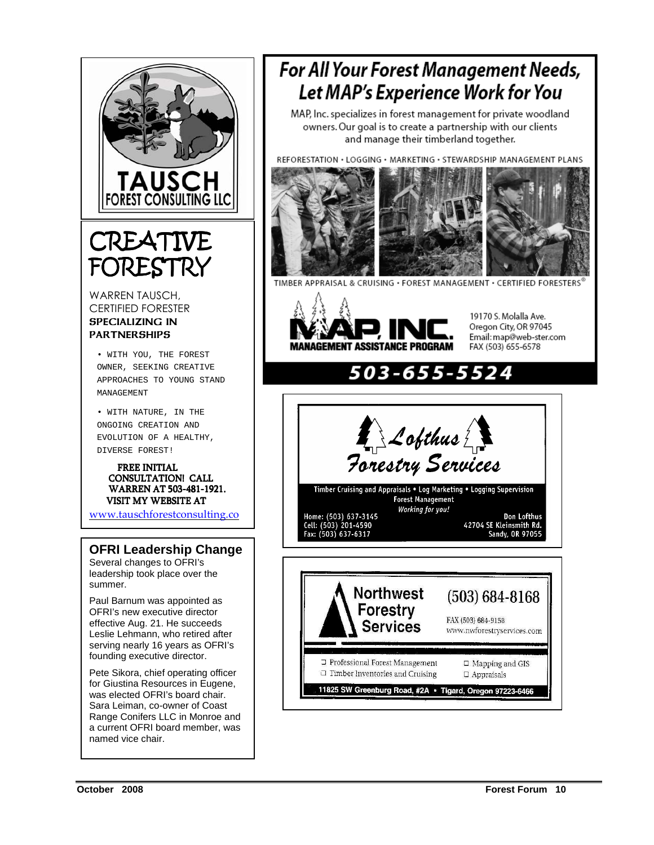

# CREATIVE FORESTRY

WARREN TAUSCH, CERTIFIED FORESTER SPECIALIZING IN **PARTNERSHIPS** 

• WITH YOU, THE FOREST OWNER, SEEKING CREATIVE APPROACHES TO YOUNG STAND MANAGEMENT

• WITH NATURE, IN THE ONGOING CREATION AND EVOLUTION OF A HEALTHY, DIVERSE FOREST!

 FREE INITIAL CONSULTATION! CALL WARREN AT 503-481-1921. VISIT MY WEBSITE AT

www.tauschforestconsulting.co

#### **OFRI Leadership Change**

Several changes to OFRI's leadership took place over the summer.

Paul Barnum was appointed as OFRI's new executive director effective Aug. 21. He succeeds Leslie Lehmann, who retired after serving nearly 16 years as OFRI's founding executive director.

Pete Sikora, chief operating officer for Giustina Resources in Eugene, was elected OFRI's board chair. Sara Leiman, co-owner of Coast Range Conifers LLC in Monroe and a current OFRI board member, was named vice chair.

# **For All Your Forest Management Needs,** Let MAP's Experience Work for You

MAP, Inc. specializes in forest management for private woodland owners. Our goal is to create a partnership with our clients and manage their timberland together.

REFORESTATION . LOGGING . MARKETING . STEWARDSHIP MANAGEMENT PLANS



TIMBER APPRAISAL & CRUISING · FOREST MANAGEMENT · CERTIFIED FORESTERS



19170 S. Molalla Ave. Oregon City, OR 97045 Email: map@web-ster.com FAX (503) 655-6578

# 03-655-

**A** Lofthus A<br>Forestry Services

Timber Cruising and Appraisals . Log Marketing . Logging Supervision Forest Management Working for you! Home: (503) 637-3145<br>Cell: (503) 201-4590<br>Fax: (503) 637-6317

Don Lofthus 42704 SE Kleinsmith Rd.<br>Sandy, OR 97055



m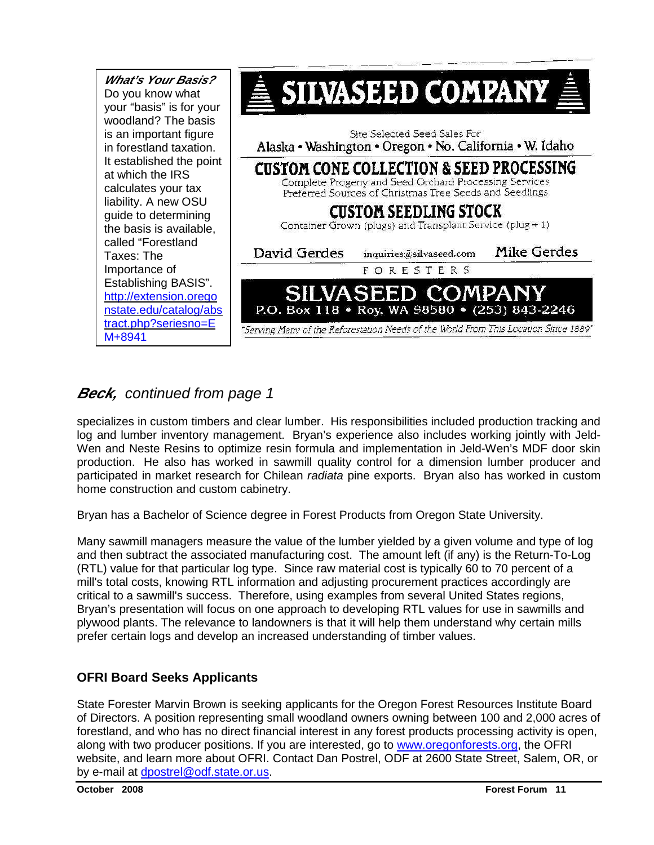

# **Beck, continued from page 1**

specializes in custom timbers and clear lumber. His responsibilities included production tracking and log and lumber inventory management. Bryan's experience also includes working jointly with Jeld-Wen and Neste Resins to optimize resin formula and implementation in Jeld-Wen's MDF door skin production. He also has worked in sawmill quality control for a dimension lumber producer and participated in market research for Chilean radiata pine exports. Bryan also has worked in custom home construction and custom cabinetry.

Bryan has a Bachelor of Science degree in Forest Products from Oregon State University.

Many sawmill managers measure the value of the lumber yielded by a given volume and type of log and then subtract the associated manufacturing cost. The amount left (if any) is the Return-To-Log (RTL) value for that particular log type. Since raw material cost is typically 60 to 70 percent of a mill's total costs, knowing RTL information and adjusting procurement practices accordingly are critical to a sawmill's success. Therefore, using examples from several United States regions, Bryan's presentation will focus on one approach to developing RTL values for use in sawmills and plywood plants. The relevance to landowners is that it will help them understand why certain mills prefer certain logs and develop an increased understanding of timber values.

#### **OFRI Board Seeks Applicants**

State Forester Marvin Brown is seeking applicants for the Oregon Forest Resources Institute Board of Directors. A position representing small woodland owners owning between 100 and 2,000 acres of forestland, and who has no direct financial interest in any forest products processing activity is open, along with two producer positions. If you are interested, go to www.oregonforests.org, the OFRI website, and learn more about OFRI. Contact Dan Postrel, ODF at 2600 State Street, Salem, OR, or by e-mail at dpostrel@odf.state.or.us.